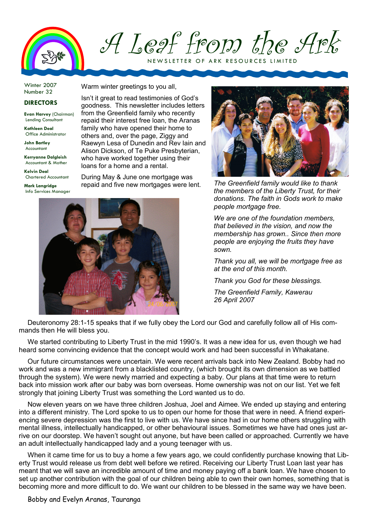

A Leaf from the Ark

NEW SLETTER OF ARK RESOURCES LIMITED

Winter 2007 Number 32

## DIRECTORS

Evan Harvey (Chairman) Lending Consultant

Kathleen Deal Office Administrator

John Bartley Accountant

Kerryanne Dalgleish Accountant & Mother

Kelvin Deal Chartered Accountant

Mark Langridge Info Services Manager Warm winter greetings to you all,

Isn't it great to read testimonies of God's goodness. This newsletter includes letters from the Greenfield family who recently repaid their interest free loan, the Aranas family who have opened their home to others and, over the page, Ziggy and Raewyn Lesa of Dunedin and Rev Iain and Alison Dickson, of Te Puke Presbyterian, who have worked together using their loans for a home and a rental.

During May & June one mortgage was repaid and five new mortgages were lent.





The Greenfield family would like to thank the members of the Liberty Trust, for their donations. The faith in Gods work to make people mortgage free.

We are one of the foundation members. that believed in the vision, and now the membership has grown.. Since then more people are enjoying the fruits they have sown.

Thank you all, we will be mortgage free as at the end of this month.

Thank you God for these blessings.

The Greenfield Family, Kawerau 26 April 2007

Deuteronomy 28:1-15 speaks that if we fully obey the Lord our God and carefully follow all of His commands then He will bless you.

We started contributing to Liberty Trust in the mid 1990's. It was a new idea for us, even though we had heard some convincing evidence that the concept would work and had been successful in Whakatane.

Our future circumstances were uncertain. We were recent arrivals back into New Zealand. Bobby had no work and was a new immigrant from a blacklisted country, (which brought its own dimension as we battled through the system). We were newly married and expecting a baby. Our plans at that time were to return back into mission work after our baby was born overseas. Home ownership was not on our list. Yet we felt strongly that joining Liberty Trust was something the Lord wanted us to do.

Now eleven years on we have three children Joshua, Joel and Aimee. We ended up staying and entering into a different ministry. The Lord spoke to us to open our home for those that were in need. A friend experiencing severe depression was the first to live with us. We have since had in our home others struggling with mental illness, intellectually handicapped, or other behavioural issues. Sometimes we have had ones just arrive on our doorstep. We haven't sought out anyone, but have been called or approached. Currently we have an adult intellectually handicapped lady and a young teenager with us.

When it came time for us to buy a home a few years ago, we could confidently purchase knowing that Liberty Trust would release us from debt well before we retired. Receiving our Liberty Trust Loan last year has meant that we will save an incredible amount of time and money paying off a bank loan. We have chosen to set up another contribution with the goal of our children being able to own their own homes, something that is becoming more and more difficult to do. We want our children to be blessed in the same way we have been.